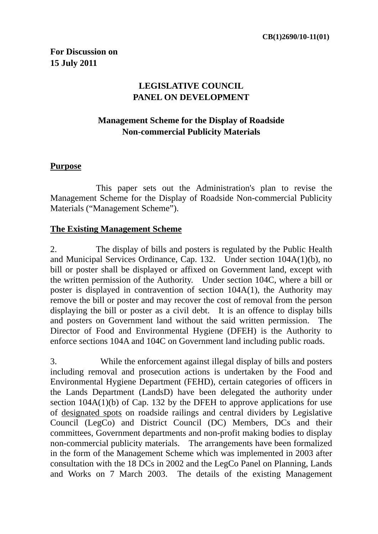# **LEGISLATIVE COUNCIL PANEL ON DEVELOPMENT**

## **Management Scheme for the Display of Roadside Non-commercial Publicity Materials**

#### **Purpose**

 This paper sets out the Administration's plan to revise the Management Scheme for the Display of Roadside Non-commercial Publicity Materials ("Management Scheme").

#### **The Existing Management Scheme**

2. The display of bills and posters is regulated by the Public Health and Municipal Services Ordinance, Cap. 132. Under section 104A(1)(b), no bill or poster shall be displayed or affixed on Government land, except with the written permission of the Authority. Under section 104C, where a bill or poster is displayed in contravention of section 104A(1), the Authority may remove the bill or poster and may recover the cost of removal from the person displaying the bill or poster as a civil debt. It is an offence to display bills and posters on Government land without the said written permission. The Director of Food and Environmental Hygiene (DFEH) is the Authority to enforce sections 104A and 104C on Government land including public roads.

3. While the enforcement against illegal display of bills and posters including removal and prosecution actions is undertaken by the Food and Environmental Hygiene Department (FEHD), certain categories of officers in the Lands Department (LandsD) have been delegated the authority under section  $104A(1)(b)$  of Cap. 132 by the DFEH to approve applications for use of designated spots on roadside railings and central dividers by Legislative Council (LegCo) and District Council (DC) Members, DCs and their committees, Government departments and non-profit making bodies to display non-commercial publicity materials. The arrangements have been formalized in the form of the Management Scheme which was implemented in 2003 after consultation with the 18 DCs in 2002 and the LegCo Panel on Planning, Lands and Works on 7 March 2003. The details of the existing Management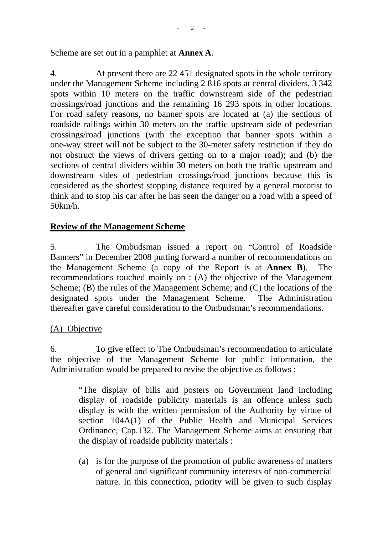Scheme are set out in a pamphlet at **Annex A**.

4. At present there are 22 451 designated spots in the whole territory under the Management Scheme including 2 816 spots at central dividers, 3 342 spots within 10 meters on the traffic downstream side of the pedestrian crossings/road junctions and the remaining 16 293 spots in other locations. For road safety reasons, no banner spots are located at (a) the sections of roadside railings within 30 meters on the traffic upstream side of pedestrian crossings/road junctions (with the exception that banner spots within a one-way street will not be subject to the 30-meter safety restriction if they do not obstruct the views of drivers getting on to a major road); and (b) the sections of central dividers within 30 meters on both the traffic upstream and downstream sides of pedestrian crossings/road junctions because this is considered as the shortest stopping distance required by a general motorist to think and to stop his car after he has seen the danger on a road with a speed of 50km/h.

### **Review of the Management Scheme**

5. The Ombudsman issued a report on "Control of Roadside Banners" in December 2008 putting forward a number of recommendations on the Management Scheme (a copy of the Report is at **Annex B**). The recommendations touched mainly on : (A) the objective of the Management Scheme; (B) the rules of the Management Scheme; and (C) the locations of the designated spots under the Management Scheme. The Administration thereafter gave careful consideration to the Ombudsman's recommendations.

#### (A) Objective

6. To give effect to The Ombudsman's recommendation to articulate the objective of the Management Scheme for public information, the Administration would be prepared to revise the objective as follows :

> "The display of bills and posters on Government land including display of roadside publicity materials is an offence unless such display is with the written permission of the Authority by virtue of section 104A(1) of the Public Health and Municipal Services Ordinance, Cap.132. The Management Scheme aims at ensuring that the display of roadside publicity materials :

> (a) is for the purpose of the promotion of public awareness of matters of general and significant community interests of non-commercial nature. In this connection, priority will be given to such display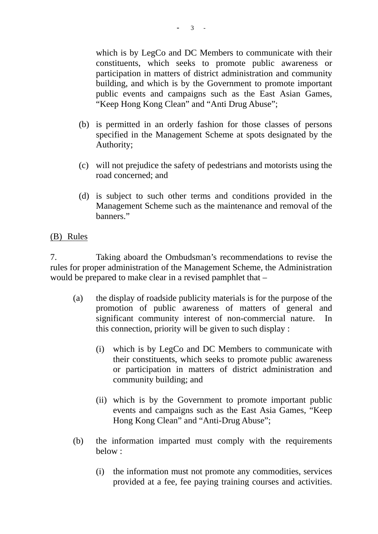which is by LegCo and DC Members to communicate with their constituents, which seeks to promote public awareness or participation in matters of district administration and community building, and which is by the Government to promote important public events and campaigns such as the East Asian Games, "Keep Hong Kong Clean" and "Anti Drug Abuse";

- (b) is permitted in an orderly fashion for those classes of persons specified in the Management Scheme at spots designated by the Authority;
- (c) will not prejudice the safety of pedestrians and motorists using the road concerned; and
- (d) is subject to such other terms and conditions provided in the Management Scheme such as the maintenance and removal of the banners."

### (B) Rules

7. Taking aboard the Ombudsman's recommendations to revise the rules for proper administration of the Management Scheme, the Administration would be prepared to make clear in a revised pamphlet that –

- (a) the display of roadside publicity materials is for the purpose of the promotion of public awareness of matters of general and significant community interest of non-commercial nature. In this connection, priority will be given to such display :
	- (i) which is by LegCo and DC Members to communicate with their constituents, which seeks to promote public awareness or participation in matters of district administration and community building; and
	- (ii) which is by the Government to promote important public events and campaigns such as the East Asia Games, "Keep Hong Kong Clean" and "Anti-Drug Abuse";
- (b) the information imparted must comply with the requirements below :
	- (i) the information must not promote any commodities, services provided at a fee, fee paying training courses and activities.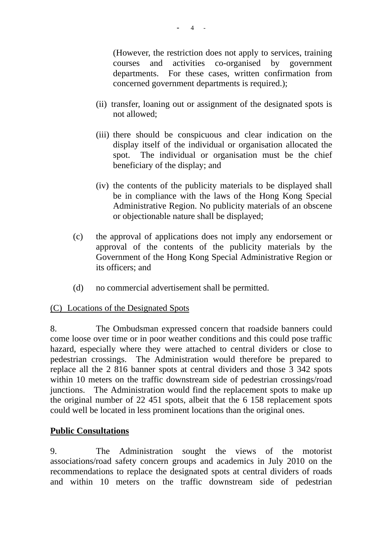(However, the restriction does not apply to services, training courses and activities co-organised by government departments. For these cases, written confirmation from concerned government departments is required.);

- (ii) transfer, loaning out or assignment of the designated spots is not allowed;
- (iii) there should be conspicuous and clear indication on the display itself of the individual or organisation allocated the spot. The individual or organisation must be the chief beneficiary of the display; and
- (iv) the contents of the publicity materials to be displayed shall be in compliance with the laws of the Hong Kong Special Administrative Region. No publicity materials of an obscene or objectionable nature shall be displayed;
- (c) the approval of applications does not imply any endorsement or approval of the contents of the publicity materials by the Government of the Hong Kong Special Administrative Region or its officers; and
- (d) no commercial advertisement shall be permitted.

### (C) Locations of the Designated Spots

8. The Ombudsman expressed concern that roadside banners could come loose over time or in poor weather conditions and this could pose traffic hazard, especially where they were attached to central dividers or close to pedestrian crossings. The Administration would therefore be prepared to replace all the 2 816 banner spots at central dividers and those 3 342 spots within 10 meters on the traffic downstream side of pedestrian crossings/road junctions. The Administration would find the replacement spots to make up the original number of 22 451 spots, albeit that the 6 158 replacement spots could well be located in less prominent locations than the original ones.

#### **Public Consultations**

9. The Administration sought the views of the motorist associations/road safety concern groups and academics in July 2010 on the recommendations to replace the designated spots at central dividers of roads and within 10 meters on the traffic downstream side of pedestrian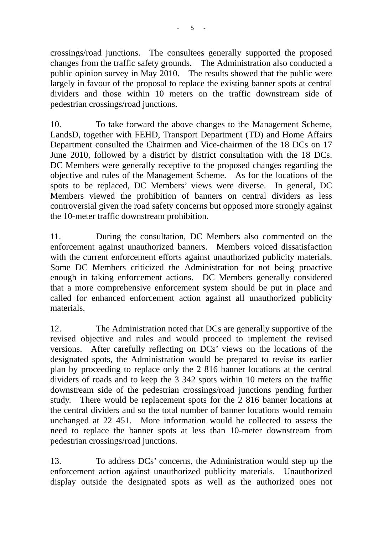crossings/road junctions. The consultees generally supported the proposed changes from the traffic safety grounds. The Administration also conducted a public opinion survey in May 2010. The results showed that the public were largely in favour of the proposal to replace the existing banner spots at central dividers and those within 10 meters on the traffic downstream side of pedestrian crossings/road junctions.

10. To take forward the above changes to the Management Scheme, LandsD, together with FEHD, Transport Department (TD) and Home Affairs Department consulted the Chairmen and Vice-chairmen of the 18 DCs on 17 June 2010, followed by a district by district consultation with the 18 DCs. DC Members were generally receptive to the proposed changes regarding the objective and rules of the Management Scheme. As for the locations of the spots to be replaced, DC Members' views were diverse. In general, DC Members viewed the prohibition of banners on central dividers as less controversial given the road safety concerns but opposed more strongly against the 10-meter traffic downstream prohibition.

11. During the consultation, DC Members also commented on the enforcement against unauthorized banners. Members voiced dissatisfaction with the current enforcement efforts against unauthorized publicity materials. Some DC Members criticized the Administration for not being proactive enough in taking enforcement actions. DC Members generally considered that a more comprehensive enforcement system should be put in place and called for enhanced enforcement action against all unauthorized publicity materials.

12. The Administration noted that DCs are generally supportive of the revised objective and rules and would proceed to implement the revised versions. After carefully reflecting on DCs' views on the locations of the designated spots, the Administration would be prepared to revise its earlier plan by proceeding to replace only the 2 816 banner locations at the central dividers of roads and to keep the 3 342 spots within 10 meters on the traffic downstream side of the pedestrian crossings/road junctions pending further study. There would be replacement spots for the 2 816 banner locations at the central dividers and so the total number of banner locations would remain unchanged at 22 451. More information would be collected to assess the need to replace the banner spots at less than 10-meter downstream from pedestrian crossings/road junctions.

13. To address DCs' concerns, the Administration would step up the enforcement action against unauthorized publicity materials. Unauthorized display outside the designated spots as well as the authorized ones not